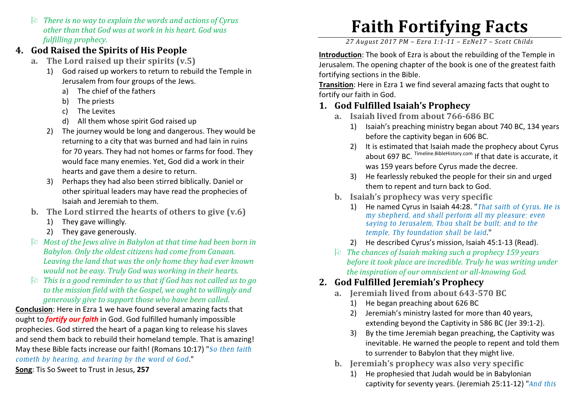$\Box$  There is no way to explain the words and actions of Cyrus<br>other than that Cod was at work in his heart. Cod was other than that God was at work in his heart. God was fulfilling prophecy.

### 4. God Raised the Spirits of His People

- a. The Lord raised up their spirits (v.5)
	- 1) God raised up workers to return to rebuild the Temple in Jerusalem from four groups of the Jews.
		- a) The chief of the fathers
		- b) The priests
		- c)The Levites
		- d) All them whose spirit God raised up
	- 2) The journey would be long and dangerous. They would bereturning to a city that was burned and had lain in ruins for 70 years. They had not homes or farms for food. They would face many enemies. Yet, God did a work in their hearts and gave them a desire to return.
	- 3) Perhaps they had also been stirred biblically. Daniel or other spiritual leaders may have read the prophecies of Isaiah and Jeremiah to them.
- b. The Lord stirred the hearts of others to give (v.6)
	- 1) They gave willingly.
	- 2) They gave generously.
- $\boxplus$  Most of the Jews alive in Babylon at that time had been born in<br>Rabylon, Only the oldest sitizens had some from Canaan Babylon. Only the oldest citizens had come from Canaan. Leaving the land that was the only home they had ever known would not be easy. Truly God was working in their hearts.
- $\upbeta$  This is a good reminder to us that if God has not called us to go<br>to the mission field with the Cosnel we quaht to willingly and to the mission field with the Gospel, we ought to willingly and generously give to support those who have been called.

Conclusion: Here in Ezra 1 we have found several amazing facts that ought to **fortify our faith** in God. God fulfilled humanly impossible prophecies. God stirred the heart of a pagan king to release his slaves and send them back to rebuild their homeland temple. That is amazing! May these Bible facts increase our faith! (Romans 10:17) "So then faith cometh by hearing, and hearing by the word of God."

Song: Tis So Sweet to Trust in Jesus, 257

# Faith Fortifying Facts

27 August 2017 PM – Ezra 1:1-11 – EzNe17 – Scott Childs

Introduction: The book of Ezra is about the rebuilding of the Temple in Jerusalem. The opening chapter of the book is one of the greatest faith fortifying sections in the Bible.

Transition: Here in Ezra 1 we find several amazing facts that ought to fortify our faith in God.

#### 1. God Fulfilled Isaiah's Prophecy

- a. Isaiah lived from about 766-686 BC
	- 1) Isaiah's preaching ministry began about 740 BC, 134 years before the captivity began in 606 BC.
	- 2) It is estimated that Isaiah made the prophecy about Cyrus about 697 BC. Timeline.BibleHistory.com If that date is accurate, it was 159 years before Cyrus made the decree.
	- 3) He fearlessly rebuked the people for their sin and urged them to repent and turn back to God.
- b. Isaiah's prophecy was very specific
	- 1) He named Cyrus in Isaiah 44:28. "*That saith of Cyrus, He is my shepherd, and shall perform all my pleasure: even saying to Jerusalem, Thou shalt be built; and to the temple, Thy foundation shall be laid*."
	- 2) He described Cyrus's mission, Isaiah 45:1-13 (Read).
- $\Xi$  The chances of Isaiah making such a prophecy 159 years<br>before it took place are incredible. Trube he was writing if before it took place are incredible. Truly he was writing under the inspiration of our omniscient or all-knowing God.

## 2. God Fulfilled Jeremiah's Prophecy

- a. Jeremiah lived from about 643-570 BC
	- 1) He began preaching about 626 BC
	- 2) Jeremiah's ministry lasted for more than 40 years, extending beyond the Captivity in 586 BC (Jer 39:1-2).
	- 3) By the time Jeremiah began preaching, the Captivity was inevitable. He warned the people to repent and told themto surrender to Babylon that they might live.
- b. Jeremiah's prophecy was also very specific
	- 1) He prophesied that Judah would be in Babylonian captivity for seventy years. (Jeremiah 25:11-12) "*And this*